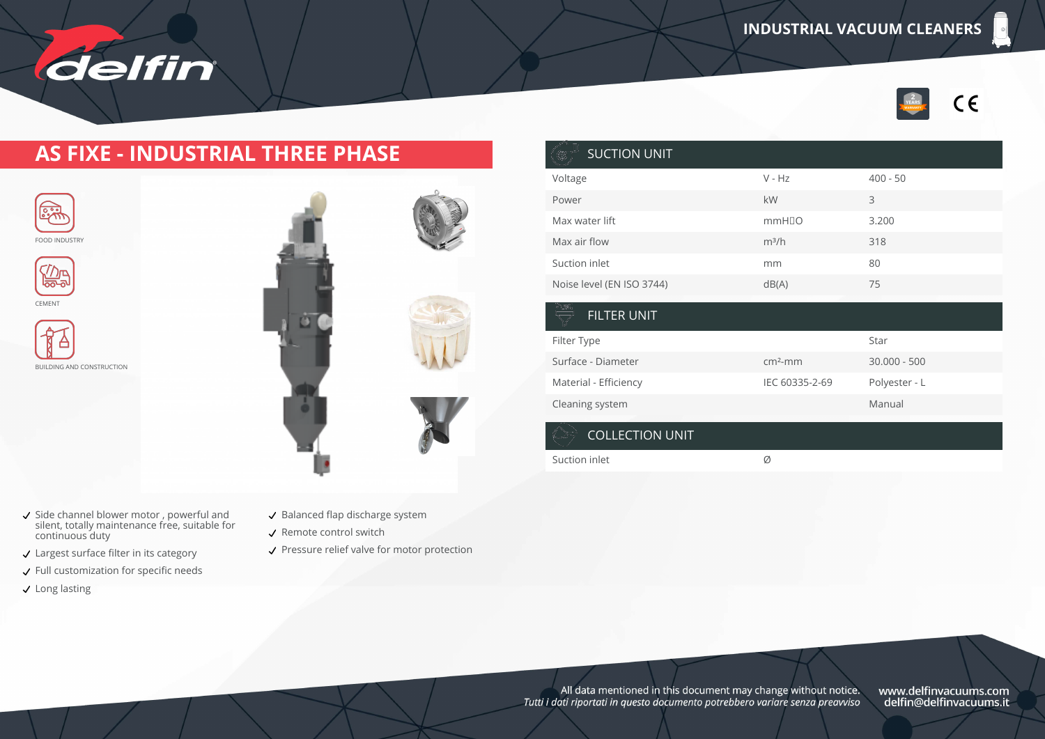

#### **AS FIXE - INDUSTRIAL THREE PHASE**





CEMENT



BUILDING AND CONSTRUCTION



Side channel blower motor , powerful and silent, totally maintenance free, suitable for continuous duty

delfin

- Largest surface filter in its category
- $\checkmark$  Full customization for specific needs
- $\checkmark$  Long lasting

| ۲<br>$\overline{a}$ |
|---------------------|
| $\overline{a}$      |
| S                   |
| $\overline{C}$      |
| $\tilde{a}$         |
| F                   |
| S<br>N<br>C         |
|                     |
|                     |
|                     |

- $\checkmark$  Balanced flap discharge system
- Remote control switch
- ✔ Pressure relief valve for motor protection

| <b>SUCTION UNIT</b><br>❀  |                   |                |
|---------------------------|-------------------|----------------|
| Voltage                   | $V - Hz$          | $400 - 50$     |
| Power                     | kW                | 3              |
| Max water lift            | mmH <sub>IO</sub> | 3.200          |
| Max air flow              | $m^3/h$           | 318            |
| Suction inlet             | mm                | 80             |
| Noise level (EN ISO 3744) | dB(A)             | 75             |
| NGE<br><b>FILTER UNIT</b> |                   |                |
| Filter Type               |                   | Star           |
| Surface - Diameter        | $cm2$ -mm         | $30.000 - 500$ |
| Material - Efficiency     | IEC 60335-2-69    | Polyester - L  |
| Cleaning system           |                   | Manual         |

#### COLLECTION UNIT

Suction inlet  $\emptyset$ 

All data mentioned in this document may change without notice.<br>Tutti i dati riportati in questo documento potrebbero variare senza preavviso

www.delfinvacuums.com<br>delfin@delfinvacuums.it